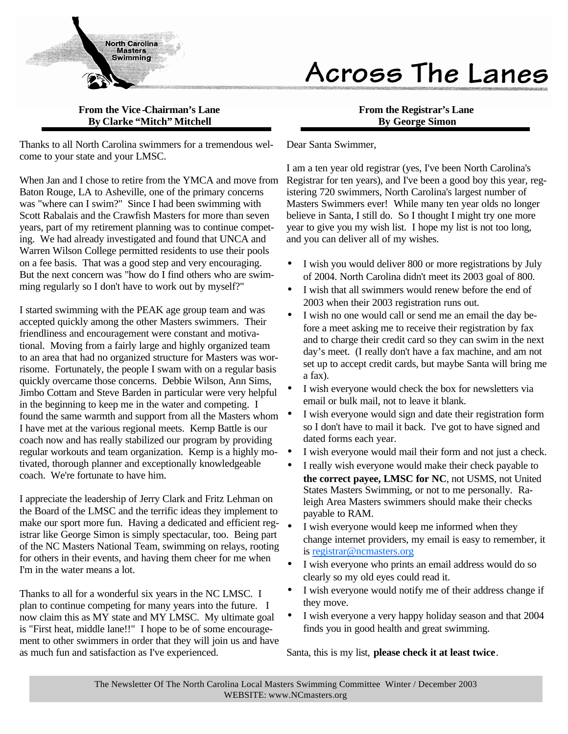

# Across The Lanes

### **From the Vice -Chairman's Lane By Clarke "Mitch" Mitchell**

Thanks to all North Carolina swimmers for a tremendous welcome to your state and your LMSC.

When Jan and I chose to retire from the YMCA and move from Baton Rouge, LA to Asheville, one of the primary concerns was "where can I swim?" Since I had been swimming with Scott Rabalais and the Crawfish Masters for more than seven years, part of my retirement planning was to continue competing. We had already investigated and found that UNCA and Warren Wilson College permitted residents to use their pools on a fee basis. That was a good step and very encouraging. But the next concern was "how do I find others who are swimming regularly so I don't have to work out by myself?"

I started swimming with the PEAK age group team and was accepted quickly among the other Masters swimmers. Their friendliness and encouragement were constant and motivational. Moving from a fairly large and highly organized team to an area that had no organized structure for Masters was worrisome. Fortunately, the people I swam with on a regular basis quickly overcame those concerns. Debbie Wilson, Ann Sims, Jimbo Cottam and Steve Barden in particular were very helpful in the beginning to keep me in the water and competing. I found the same warmth and support from all the Masters whom  $\bullet$ I have met at the various regional meets. Kemp Battle is our coach now and has really stabilized our program by providing regular workouts and team organization. Kemp is a highly motivated, thorough planner and exceptionally knowledgeable coach. We're fortunate to have him.

I appreciate the leadership of Jerry Clark and Fritz Lehman on the Board of the LMSC and the terrific ideas they implement to make our sport more fun. Having a dedicated and efficient registrar like George Simon is simply spectacular, too. Being part of the NC Masters National Team, swimming on relays, rooting for others in their events, and having them cheer for me when I'm in the water means a lot.

Thanks to all for a wonderful six years in the NC LMSC. I plan to continue competing for many years into the future. I now claim this as MY state and MY LMSC. My ultimate goal is "First heat, middle lane!!" I hope to be of some encouragement to other swimmers in order that they will join us and have as much fun and satisfaction as I've experienced.

### **From the Registrar's Lane By George Simon**

### Dear Santa Swimmer,

I am a ten year old registrar (yes, I've been North Carolina's Registrar for ten years), and I've been a good boy this year, registering 720 swimmers, North Carolina's largest number of Masters Swimmers ever! While many ten year olds no longer believe in Santa, I still do. So I thought I might try one more year to give you my wish list. I hope my list is not too long, and you can deliver all of my wishes.

- I wish you would deliver 800 or more registrations by July of 2004. North Carolina didn't meet its 2003 goal of 800.
- I wish that all swimmers would renew before the end of 2003 when their 2003 registration runs out.
- I wish no one would call or send me an email the day before a meet asking me to receive their registration by fax and to charge their credit card so they can swim in the next day's meet. (I really don't have a fax machine, and am not set up to accept credit cards, but maybe Santa will bring me a fax).
- I wish everyone would check the box for newsletters via email or bulk mail, not to leave it blank.
- I wish everyone would sign and date their registration form so I don't have to mail it back. I've got to have signed and dated forms each year.
- I wish everyone would mail their form and not just a check.
- I really wish everyone would make their check payable to **the correct payee, LMSC for NC**, not USMS, not United States Masters Swimming, or not to me personally. Raleigh Area Masters swimmers should make their checks payable to RAM.
- I wish everyone would keep me informed when they change internet providers, my email is easy to remember, it is registrar@ncmasters.org
- I wish everyone who prints an email address would do so clearly so my old eyes could read it.
- I wish everyone would notify me of their address change if they move.
- I wish everyone a very happy holiday season and that 2004 finds you in good health and great swimming.

Santa, this is my list, **please check it at least twice**.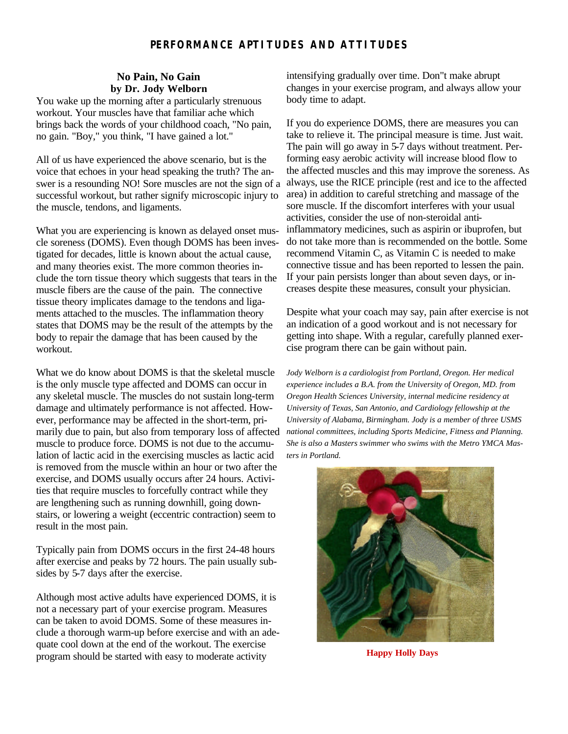### **PERFORMANCE APTITUDES AND ATTITUDES**

### **No Pain, No Gain by Dr. Jody Welborn**

You wake up the morning after a particularly strenuous workout. Your muscles have that familiar ache which brings back the words of your childhood coach, "No pain, no gain. "Boy," you think, "I have gained a lot."

All of us have experienced the above scenario, but is the voice that echoes in your head speaking the truth? The answer is a resounding NO! Sore muscles are not the sign of a successful workout, but rather signify microscopic injury to the muscle, tendons, and ligaments.

What you are experiencing is known as delayed onset muscle soreness (DOMS). Even though DOMS has been investigated for decades, little is known about the actual cause, and many theories exist. The more common theories include the torn tissue theory which suggests that tears in the muscle fibers are the cause of the pain. The connective tissue theory implicates damage to the tendons and ligaments attached to the muscles. The inflammation theory states that DOMS may be the result of the attempts by the body to repair the damage that has been caused by the workout.

What we do know about DOMS is that the skeletal muscle is the only muscle type affected and DOMS can occur in any skeletal muscle. The muscles do not sustain long-term damage and ultimately performance is not affected. However, performance may be affected in the short-term, primarily due to pain, but also from temporary loss of affected muscle to produce force. DOMS is not due to the accumulation of lactic acid in the exercising muscles as lactic acid is removed from the muscle within an hour or two after the exercise, and DOMS usually occurs after 24 hours. Activities that require muscles to forcefully contract while they are lengthening such as running downhill, going downstairs, or lowering a weight (eccentric contraction) seem to result in the most pain.

Typically pain from DOMS occurs in the first 24-48 hours after exercise and peaks by 72 hours. The pain usually subsides by 5-7 days after the exercise.

Although most active adults have experienced DOMS, it is not a necessary part of your exercise program. Measures can be taken to avoid DOMS. Some of these measures include a thorough warm-up before exercise and with an adequate cool down at the end of the workout. The exercise program should be started with easy to moderate activity

intensifying gradually over time. Don"t make abrupt changes in your exercise program, and always allow your body time to adapt.

If you do experience DOMS, there are measures you can take to relieve it. The principal measure is time. Just wait. The pain will go away in 5-7 days without treatment. Performing easy aerobic activity will increase blood flow to the affected muscles and this may improve the soreness. As always, use the RICE principle (rest and ice to the affected area) in addition to careful stretching and massage of the sore muscle. If the discomfort interferes with your usual activities, consider the use of non-steroidal antiinflammatory medicines, such as aspirin or ibuprofen, but do not take more than is recommended on the bottle. Some recommend Vitamin C, as Vitamin C is needed to make connective tissue and has been reported to lessen the pain. If your pain persists longer than about seven days, or increases despite these measures, consult your physician.

Despite what your coach may say, pain after exercise is not an indication of a good workout and is not necessary for getting into shape. With a regular, carefully planned exercise program there can be gain without pain.

*Jody Welborn is a cardiologist from Portland, Oregon. Her medical experience includes a B.A. from the University of Oregon, MD. from Oregon Health Sciences University, internal medicine residency at University of Texas, San Antonio, and Cardiology fellowship at the University of Alabama, Birmingham. Jody is a member of three USMS national committees, including Sports Medicine, Fitness and Planning. She is also a Masters swimmer who swims with the Metro YMCA Masters in Portland.*



**Happy Holly Days**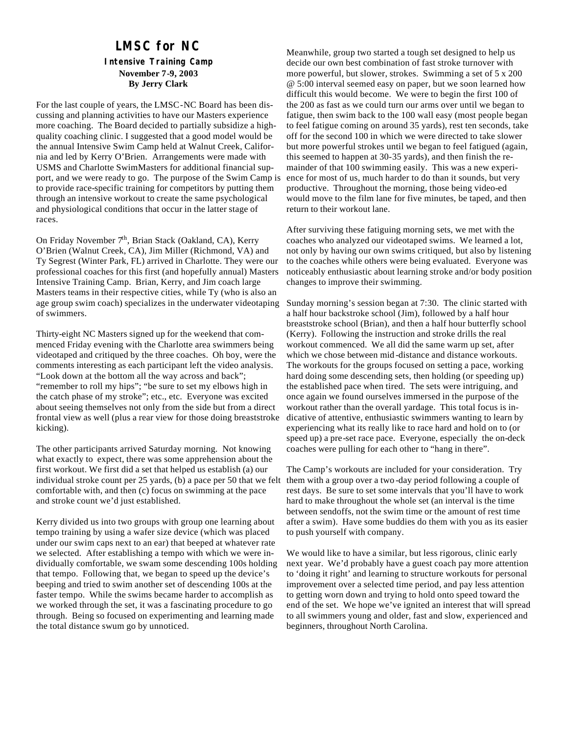### **LMSC for NC Intensive Training Camp November 7-9, 2003 By Jerry Clark**

For the last couple of years, the LMSC-NC Board has been discussing and planning activities to have our Masters experience more coaching. The Board decided to partially subsidize a highquality coaching clinic. I suggested that a good model would be the annual Intensive Swim Camp held at Walnut Creek, California and led by Kerry O'Brien. Arrangements were made with USMS and Charlotte SwimMasters for additional financial support, and we were ready to go. The purpose of the Swim Camp is to provide race-specific training for competitors by putting them through an intensive workout to create the same psychological and physiological conditions that occur in the latter stage of races.

On Friday November 7<sup>th</sup>, Brian Stack (Oakland, CA), Kerry O'Brien (Walnut Creek, CA), Jim Miller (Richmond, VA) and Ty Segrest (Winter Park, FL) arrived in Charlotte. They were our professional coaches for this first (and hopefully annual) Masters Intensive Training Camp. Brian, Kerry, and Jim coach large Masters teams in their respective cities, while Ty (who is also an age group swim coach) specializes in the underwater videotaping of swimmers.

Thirty-eight NC Masters signed up for the weekend that commenced Friday evening with the Charlotte area swimmers being videotaped and critiqued by the three coaches. Oh boy, were the comments interesting as each participant left the video analysis. "Look down at the bottom all the way across and back"; "remember to roll my hips"; "be sure to set my elbows high in the catch phase of my stroke"; etc., etc. Everyone was excited about seeing themselves not only from the side but from a direct frontal view as well (plus a rear view for those doing breaststroke kicking).

The other participants arrived Saturday morning. Not knowing what exactly to expect, there was some apprehension about the first workout. We first did a set that helped us establish (a) our individual stroke count per 25 yards, (b) a pace per 50 that we felt comfortable with, and then (c) focus on swimming at the pace and stroke count we'd just established.

Kerry divided us into two groups with group one learning about tempo training by using a wafer size device (which was placed under our swim caps next to an ear) that beeped at whatever rate we selected. After establishing a tempo with which we were individually comfortable, we swam some descending 100s holding that tempo. Following that, we began to speed up the device's beeping and tried to swim another set of descending 100s at the faster tempo. While the swims became harder to accomplish as we worked through the set, it was a fascinating procedure to go through. Being so focused on experimenting and learning made the total distance swum go by unnoticed.

Meanwhile, group two started a tough set designed to help us decide our own best combination of fast stroke turnover with more powerful, but slower, strokes. Swimming a set of 5 x 200 @ 5:00 interval seemed easy on paper, but we soon learned how difficult this would become. We were to begin the first 100 of the 200 as fast as we could turn our arms over until we began to fatigue, then swim back to the 100 wall easy (most people began to feel fatigue coming on around 35 yards), rest ten seconds, take off for the second 100 in which we were directed to take slower but more powerful strokes until we began to feel fatigued (again, this seemed to happen at 30-35 yards), and then finish the remainder of that 100 swimming easily. This was a new experience for most of us, much harder to do than it sounds, but very productive. Throughout the morning, those being video-ed would move to the film lane for five minutes, be taped, and then return to their workout lane.

After surviving these fatiguing morning sets, we met with the coaches who analyzed our videotaped swims. We learned a lot, not only by having our own swims critiqued, but also by listening to the coaches while others were being evaluated. Everyone was noticeably enthusiastic about learning stroke and/or body position changes to improve their swimming.

Sunday morning's session began at 7:30. The clinic started with a half hour backstroke school (Jim), followed by a half hour breaststroke school (Brian), and then a half hour butterfly school (Kerry). Following the instruction and stroke drills the real workout commenced. We all did the same warm up set, after which we chose between mid -distance and distance workouts. The workouts for the groups focused on setting a pace, working hard doing some descending sets, then holding (or speeding up) the established pace when tired. The sets were intriguing, and once again we found ourselves immersed in the purpose of the workout rather than the overall yardage. This total focus is indicative of attentive, enthusiastic swimmers wanting to learn by experiencing what its really like to race hard and hold on to (or speed up) a pre-set race pace. Everyone, especially the on-deck coaches were pulling for each other to "hang in there".

The Camp's workouts are included for your consideration. Try them with a group over a two -day period following a couple of rest days. Be sure to set some intervals that you'll have to work hard to make throughout the whole set (an interval is the time between sendoffs, not the swim time or the amount of rest time after a swim). Have some buddies do them with you as its easier to push yourself with company.

We would like to have a similar, but less rigorous, clinic early next year. We'd probably have a guest coach pay more attention to 'doing it right' and learning to structure workouts for personal improvement over a selected time period, and pay less attention to getting worn down and trying to hold onto speed toward the end of the set. We hope we've ignited an interest that will spread to all swimmers young and older, fast and slow, experienced and beginners, throughout North Carolina.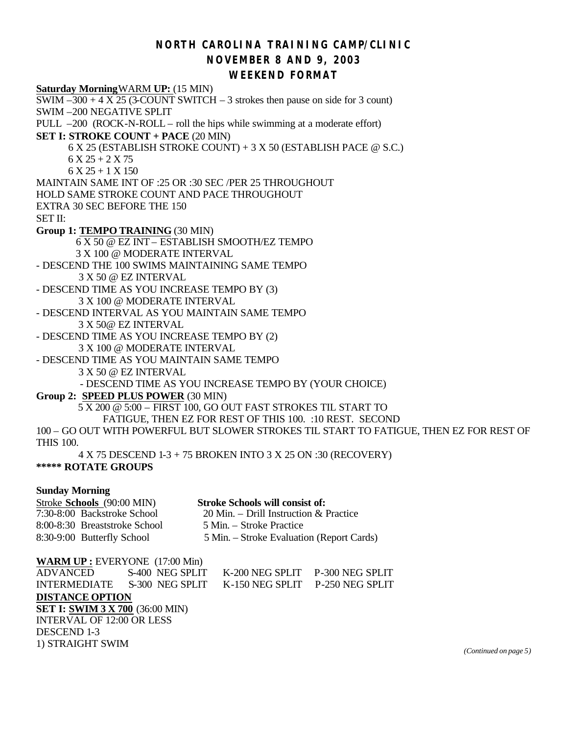### *NORTH CAROLINA TRAINING CAMP/CLINIC* **NOVEMBER 8 AND 9, 2003**

### **WEEKEND FORMAT**

**Saturday Morning**WARM **UP:** (15 MIN) SWIM  $-300 + 4$  X 25 (3-COUNT SWITCH  $-3$  strokes then pause on side for 3 count) SWIM –200 NEGATIVE SPLIT PULL –200 (ROCK-N-ROLL – roll the hips while swimming at a moderate effort) **SET I: STROKE COUNT + PACE** (20 MIN) 6 X 25 (ESTABLISH STROKE COUNT) + 3 X 50 (ESTABLISH PACE @ S.C.)  $6 X 25 + 2 X 75$  $6 X 25 + 1 X 150$ MAINTAIN SAME INT OF :25 OR :30 SEC /PER 25 THROUGHOUT HOLD SAME STROKE COUNT AND PACE THROUGHOUT EXTRA 30 SEC BEFORE THE 150 SET II: **Group 1: TEMPO TRAINING** (30 MIN) 6 X 50 @ EZ INT – ESTABLISH SMOOTH/EZ TEMPO 3 X 100 @ MODERATE INTERVAL - DESCEND THE 100 SWIMS MAINTAINING SAME TEMPO 3 X 50 @ EZ INTERVAL - DESCEND TIME AS YOU INCREASE TEMPO BY (3) 3 X 100 @ MODERATE INTERVAL - DESCEND INTERVAL AS YOU MAINTAIN SAME TEMPO 3 X 50@ EZ INTERVAL - DESCEND TIME AS YOU INCREASE TEMPO BY (2) 3 X 100 @ MODERATE INTERVAL - DESCEND TIME AS YOU MAINTAIN SAME TEMPO 3 X 50 @ EZ INTERVAL - DESCEND TIME AS YOU INCREASE TEMPO BY (YOUR CHOICE) **Group 2: SPEED PLUS POWER** (30 MIN) 5 X 200 @ 5:00 – FIRST 100, GO OUT FAST STROKES TIL START TO FATIGUE, THEN EZ FOR REST OF THIS 100. :10 REST. SECOND 100 – GO OUT WITH POWERFUL BUT SLOWER STROKES TIL START TO FATIGUE, THEN EZ FOR REST OF THIS 100. 4 X 75 DESCEND 1-3 + 75 BROKEN INTO 3 X 25 ON :30 (RECOVERY) **\*\*\*\*\* ROTATE GROUPS Sunday Morning Stroke Schools** (90:00 MIN) **Stroke Schools will consist of:**<br>7:30-8:00 Backstroke School 20 Min. – Drill Instruction & 20 Min. – Drill Instruction & Practice 8:00-8:30 Breaststroke School 5 Min. – Stroke Practice 8:30-9:00 Butterfly School 5 Min. – Stroke Evaluation (Report Cards) **WARM UP :** EVERYONE (17:00 Min) ADVANCED S-400 NEG SPLIT K-200 NEG SPLIT P-300 NEG SPLIT INTERMEDIATE S-300 NEG SPLIT K-150 NEG SPLIT P-250 NEG SPLIT **DISTANCE OPTION**

**SET I: SWIM 3 X 700** (36:00 MIN) INTERVAL OF 12:00 OR LESS

DESCEND 1-3

1) STRAIGHT SWIM *(Continued on page 5)*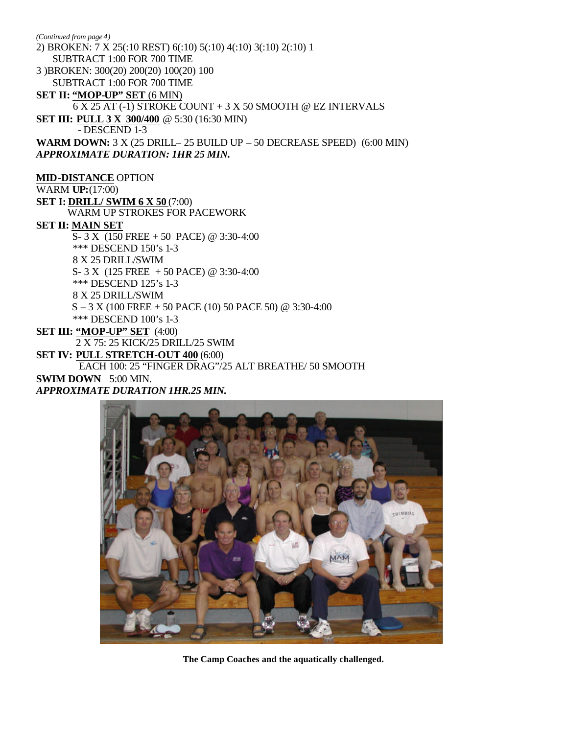2) BROKEN: 7 X 25(:10 REST) 6(:10) 5(:10) 4(:10) 3(:10) 2(:10) 1 SUBTRACT 1:00 FOR 700 TIME 3 )BROKEN: 300(20) 200(20) 100(20) 100 SUBTRACT 1:00 FOR 700 TIME **SET II: "MOP-UP" SET** (6 MIN) 6 X 25 AT (-1) STROKE COUNT + 3 X 50 SMOOTH @ EZ INTERVALS **SET III: PULL 3 X 300/400** @ 5:30 (16:30 MIN) - DESCEND 1-3 **WARM DOWN:** 3 X (25 DRILL– 25 BUILD UP – 50 DECREASE SPEED) (6:00 MIN) *APPROXIMATE DURATION: 1HR 25 MIN.* **MID-DISTANCE** OPTION WARM **UP:**(17:00) **SET I: DRILL/ SWIM 6 X 50 (7:00)**  WARM UP STROKES FOR PACEWORK *(Continued from page 4)*

#### **SET II: MAIN SET**

 S- 3 X (150 FREE + 50 PACE) @ 3:30-4:00 \*\*\* DESCEND 150's 1-3 8 X 25 DRILL/SWIM S- 3 X (125 FREE + 50 PACE) @ 3:30-4:00 \*\*\* DESCEND 125's 1-3 8 X 25 DRILL/SWIM S – 3 X (100 FREE + 50 PACE (10) 50 PACE 50) @ 3:30-4:00 \*\*\* DESCEND 100's 1-3

**SET III: "MOP-UP" SET** (4:00)

2 X 75: 25 KICK/25 DRILL/25 SWIM

**SET IV: PULL STRETCH-OUT 400** (6:00)

#### EACH 100: 25 "FINGER DRAG"/25 ALT BREATHE/ 50 SMOOTH

**SWIM DOWN** 5:00 MIN. *APPROXIMATE DURATION 1HR.25 MIN.*



**The Camp Coaches and the aquatically challenged.**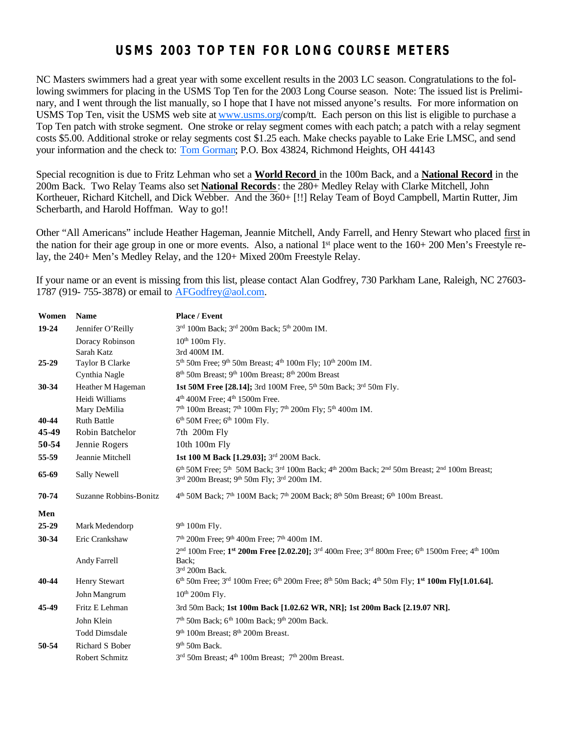### **USMS 2003 TOP TEN FOR LONG COURSE METERS**

NC Masters swimmers had a great year with some excellent results in the 2003 LC season. Congratulations to the following swimmers for placing in the USMS Top Ten for the 2003 Long Course season. Note: The issued list is Preliminary, and I went through the list manually, so I hope that I have not missed anyone's results. For more information on USMS Top Ten, visit the USMS web site at www.usms.org/comp/tt. Each person on this list is eligible to purchase a Top Ten patch with stroke segment. One stroke or relay segment comes with each patch; a patch with a relay segment costs \$5.00. Additional stroke or relay segments cost \$1.25 each. Make checks payable to Lake Erie LMSC, and send your information and the check to: Tom Gorman; P.O. Box 43824, Richmond Heights, OH 44143

Special recognition is due to Fritz Lehman who set a **World Record** in the 100m Back, and a **National Record** in the 200m Back. Two Relay Teams also set **National Records**: the 280+ Medley Relay with Clarke Mitchell, John Kortheuer, Richard Kitchell, and Dick Webber. And the 360+ [!!] Relay Team of Boyd Campbell, Martin Rutter, Jim Scherbarth, and Harold Hoffman. Way to go!!

Other "All Americans" include Heather Hageman, Jeannie Mitchell, Andy Farrell, and Henry Stewart who placed first in the nation for their age group in one or more events. Also, a national 1<sup>st</sup> place went to the 160+ 200 Men's Freestyle relay, the 240+ Men's Medley Relay, and the 120+ Mixed 200m Freestyle Relay.

If your name or an event is missing from this list, please contact Alan Godfrey, 730 Parkham Lane, Raleigh, NC 27603- 1787 (919- 755-3878) or email to AFGodfrey@aol.com.

| Women     | <b>Name</b>            | Place / Event                                                                                                                            |
|-----------|------------------------|------------------------------------------------------------------------------------------------------------------------------------------|
| $19 - 24$ | Jennifer O'Reilly      | 3rd 100m Back; 3rd 200m Back; 5 <sup>th</sup> 200m IM.                                                                                   |
|           | Doracy Robinson        | $10th 100m$ Fly.                                                                                                                         |
|           | Sarah Katz             | 3rd 400M IM.                                                                                                                             |
| $25 - 29$ | Taylor B Clarke        | 5 <sup>th</sup> 50m Free; 9 <sup>th</sup> 50m Breast; 4 <sup>th</sup> 100m Fly; 10 <sup>th</sup> 200m IM.                                |
|           | Cynthia Nagle          | 8 <sup>th</sup> 50m Breast; 9 <sup>th</sup> 100m Breast; 8 <sup>th</sup> 200m Breast                                                     |
| 30-34     | Heather M Hageman      | 1st 50M Free [28.14]; 3rd 100M Free, 5 <sup>th</sup> 50m Back; 3 <sup>rd</sup> 50m Fly.                                                  |
|           | Heidi Williams         | 4 <sup>th</sup> 400M Free; 4 <sup>th</sup> 1500m Free.                                                                                   |
|           | Mary DeMilia           | 7 <sup>th</sup> 100m Breast; 7 <sup>th</sup> 100m Fly; 7 <sup>th</sup> 200m Fly; 5 <sup>th</sup> 400m IM.                                |
| 40-44     | <b>Ruth Battle</b>     | $6th$ 50M Free; $6th$ 100m Fly.                                                                                                          |
| 45-49     | Robin Batchelor        | 7th 200m Fly                                                                                                                             |
| 50-54     | Jennie Rogers          | 10th 100m Fly                                                                                                                            |
| 55-59     | Jeannie Mitchell       | 1st 100 M Back [1.29.03]; 3rd 200M Back.                                                                                                 |
| 65-69     | <b>Sally Newell</b>    | 6th 50M Free; 5th 50M Back; 3rd 100m Back; 4th 200m Back; 2nd 50m Breast; 2nd 100m Breast;<br>3rd 200m Breast; 9th 50m Fly; 3rd 200m IM. |
| 70-74     | Suzanne Robbins-Bonitz | $4th$ 50M Back; 7 <sup>th</sup> 100M Back; 7 <sup>th</sup> 200M Back; 8 <sup>th</sup> 50m Breast; 6 <sup>th</sup> 100m Breast.           |
| Men       |                        |                                                                                                                                          |
| $25 - 29$ | Mark Medendorp         | 9 <sup>th</sup> 100m Fly.                                                                                                                |
| 30-34     | Eric Crankshaw         | $7th$ 200m Free; 9 <sup>th</sup> 400m Free; 7 <sup>th</sup> 400m IM.                                                                     |
|           | Andy Farrell           | 2nd 100m Free; 1st 200m Free [2.02.20]; 3rd 400m Free; 3rd 800m Free; 6th 1500m Free; 4th 100m<br>Back:<br>3rd 200m Back.                |
| 40-44     | Henry Stewart          | $6^{th}$ 50m Free; $3^{rd}$ 100m Free; $6^{th}$ 200m Free; $8^{th}$ 50m Back; $4^{th}$ 50m Fly; 1 <sup>st</sup> 100m Fly[1.01.64].       |
|           | John Mangrum           | $10th 200m$ Flv.                                                                                                                         |
| 45-49     | Fritz E Lehman         | 3rd 50m Back; 1st 100m Back [1.02.62 WR, NR]; 1st 200m Back [2.19.07 NR].                                                                |
|           | John Klein             | 7 <sup>th</sup> 50m Back; 6 <sup>th</sup> 100m Back; 9 <sup>th</sup> 200m Back.                                                          |
|           | <b>Todd Dimsdale</b>   | 9 <sup>th</sup> 100m Breast; 8 <sup>th</sup> 200m Breast.                                                                                |
| 50-54     | Richard S Bober        | $9th$ 50m Back.                                                                                                                          |
|           | Robert Schmitz         | 3 <sup>rd</sup> 50m Breast; 4 <sup>th</sup> 100m Breast; 7 <sup>th</sup> 200m Breast.                                                    |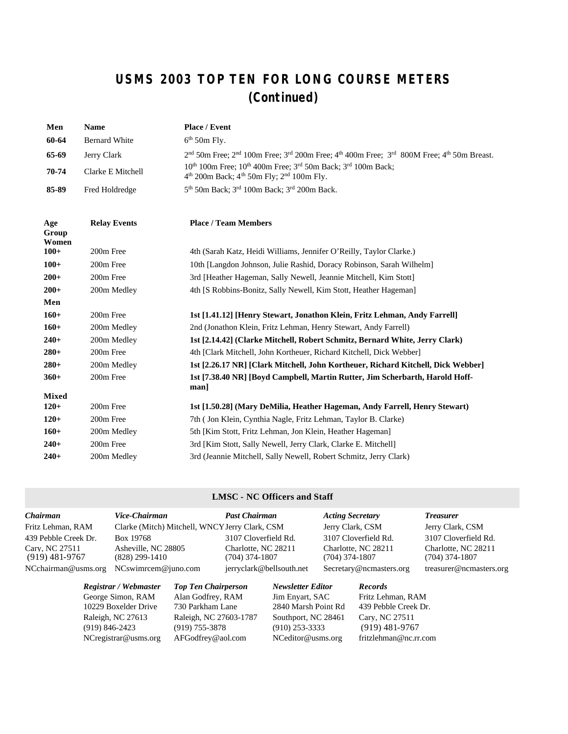## **USMS 2003 TOP TEN FOR LONG COURSE METERS (Continued)**

| Men                           | <b>Name</b>          | <b>Place / Event</b>                                                                                                                                                                                                                                                                                                                                                                 |
|-------------------------------|----------------------|--------------------------------------------------------------------------------------------------------------------------------------------------------------------------------------------------------------------------------------------------------------------------------------------------------------------------------------------------------------------------------------|
| 60-64                         | <b>Bernard White</b> | $6th$ 50m Fly.                                                                                                                                                                                                                                                                                                                                                                       |
| 65-69                         | Jerry Clark          | $2nd$ 50m Free; $2nd$ 100m Free; $3rd$ 200m Free; $4th$ 400m Free; $3rd$ 800M Free; $4th$ 50m Breast.                                                                                                                                                                                                                                                                                |
| 70-74                         | Clarke E Mitchell    | 10 <sup>th</sup> 100m Free; 10 <sup>th</sup> 400m Free; 3 <sup>rd</sup> 50m Back; 3 <sup>rd</sup> 100m Back;<br>$4th$ 200m Back; $4th$ 50m Fly; $2nd$ 100m Fly.                                                                                                                                                                                                                      |
| 85-89                         | Fred Holdredge       | 5 <sup>th</sup> 50m Back; 3 <sup>rd</sup> 100m Back; 3 <sup>rd</sup> 200m Back.                                                                                                                                                                                                                                                                                                      |
| Age<br>Group<br>Women         | <b>Relay Events</b>  | <b>Place / Team Members</b>                                                                                                                                                                                                                                                                                                                                                          |
| 100+                          | 200m Free            | 4th (Sarah Katz, Heidi Williams, Jennifer O'Reilly, Taylor Clarke.)                                                                                                                                                                                                                                                                                                                  |
| $100+$                        | 200m Free            | 10th [Langdon Johnson, Julie Rashid, Doracy Robinson, Sarah Wilhelm]                                                                                                                                                                                                                                                                                                                 |
| $200 +$                       | 200m Free            | 3rd [Heather Hageman, Sally Newell, Jeannie Mitchell, Kim Stott]                                                                                                                                                                                                                                                                                                                     |
| $200 +$                       | 200m Medley          | 4th [S Robbins-Bonitz, Sally Newell, Kim Stott, Heather Hageman]                                                                                                                                                                                                                                                                                                                     |
| Men                           |                      |                                                                                                                                                                                                                                                                                                                                                                                      |
| 160+                          | 200m Free            | 1st [1.41.12] [Henry Stewart, Jonathon Klein, Fritz Lehman, Andy Farrell]                                                                                                                                                                                                                                                                                                            |
| 160+                          | 200m Medley          | 2nd (Jonathon Klein, Fritz Lehman, Henry Stewart, Andy Farrell)                                                                                                                                                                                                                                                                                                                      |
| $\mathbf{A}$ and $\mathbf{A}$ | $200 - 11$           | $\overline{A}$ $\overline{A}$ $\overline{A}$ $\overline{A}$ $\overline{A}$ $\overline{C}$ $\overline{C}$ $\overline{A}$ $\overline{C}$ $\overline{A}$ $\overline{C}$ $\overline{A}$ $\overline{C}$ $\overline{C}$ $\overline{C}$ $\overline{C}$ $\overline{C}$ $\overline{C}$ $\overline{C}$ $\overline{C}$ $\overline{C}$ $\overline{C}$ $\overline{C}$ $\overline{C}$ $\overline{$ |

| $160+$       | 200m Medley           | 2nd (Jonathon Klein, Fritz Lehman, Henry Stewart, Andy Farrell)                     |
|--------------|-----------------------|-------------------------------------------------------------------------------------|
| $240+$       | 200m Medley           | 1st [2.14.42] (Clarke Mitchell, Robert Schmitz, Bernard White, Jerry Clark)         |
| $280+$       | 200m Free             | 4th [Clark Mitchell, John Kortheuer, Richard Kitchell, Dick Webber]                 |
| $280+$       | 200m Medley           | 1st [2.26.17 NR] [Clark Mitchell, John Kortheuer, Richard Kitchell, Dick Webber]    |
| $360+$       | 200m Free             | 1st [7.38.40 NR] [Boyd Campbell, Martin Rutter, Jim Scherbarth, Harold Hoff-<br>man |
| <b>Mixed</b> |                       |                                                                                     |
| $120+$       | 200 <sub>m</sub> Free | 1st [1.50.28] (Mary DeMilia, Heather Hageman, Andy Farrell, Henry Stewart)          |
| $120+$       | 200m Free             | 7th (Jon Klein, Cynthia Nagle, Fritz Lehman, Taylor B. Clarke)                      |
| $160+$       | 200m Medley           | 5th [Kim Stott, Fritz Lehman, Jon Klein, Heather Hageman]                           |
| $240+$       | 200m Free             | 3rd [Kim Stott, Sally Newell, Jerry Clark, Clarke E. Mitchell]                      |
| $240+$       | 200m Medley           | 3rd (Jeannie Mitchell, Sally Newell, Robert Schmitz, Jerry Clark)                   |

### **LMSC - NC Officers and Staff**

| <b>Chairman</b>                    |                    | Vice-Chairman                                                                           |                                                                                                                   | <b>Past Chairman</b>                  |                                                                                                               | <b>Acting Secretary</b> |                                                                                                   | <b>Treasurer</b>                        |
|------------------------------------|--------------------|-----------------------------------------------------------------------------------------|-------------------------------------------------------------------------------------------------------------------|---------------------------------------|---------------------------------------------------------------------------------------------------------------|-------------------------|---------------------------------------------------------------------------------------------------|-----------------------------------------|
| Fritz Lehman, RAM                  |                    | Clarke (Mitch) Mitchell, WNCY Jerry Clark, CSM                                          |                                                                                                                   |                                       |                                                                                                               | Jerry Clark, CSM        |                                                                                                   | Jerry Clark, CSM                        |
| 439 Pebble Creek Dr.               |                    | Box 19768                                                                               |                                                                                                                   | 3107 Cloverfield Rd.                  |                                                                                                               |                         | 3107 Cloverfield Rd.                                                                              | 3107 Cloverfield Rd.                    |
| Cary, NC 27511<br>$(919)$ 481-9767 |                    | Asheville, NC 28805<br>$(828)$ 299-1410                                                 |                                                                                                                   | Charlotte, NC 28211<br>(704) 374-1807 |                                                                                                               | $(704)$ 374-1807        | Charlotte, NC 28211                                                                               | Charlotte, NC 28211<br>$(704)$ 374-1807 |
| NCchairman@usms.org                |                    | NCswimrcem@juno.com                                                                     |                                                                                                                   | jerryclark@bellsouth.net              |                                                                                                               |                         | Secretary@ncmasters.org                                                                           | treasurer@ncmasters.org                 |
|                                    | $(919) 846 - 2423$ | Registrar / Webmaster<br>George Simon, RAM<br>10229 Boxelder Drive<br>Raleigh, NC 27613 | <b>Top Ten Chairperson</b><br>Alan Godfrey, RAM<br>730 Parkham Lane<br>Raleigh, NC 27603-1787<br>$(919)$ 755-3878 |                                       | <b>Newsletter Editor</b><br>Jim Enyart, SAC<br>2840 Marsh Point Rd<br>Southport, NC 28461<br>$(910)$ 253-3333 |                         | <b>Records</b><br>Fritz Lehman, RAM<br>439 Pebble Creek Dr.<br>Cary, NC 27511<br>$(919)$ 481-9767 |                                         |
|                                    |                    | NCregistrar@usms.org                                                                    | AFGodfrey@aol.com                                                                                                 |                                       | NCeditor@usms.org                                                                                             |                         | fritzlehman@nc.rr.com                                                                             |                                         |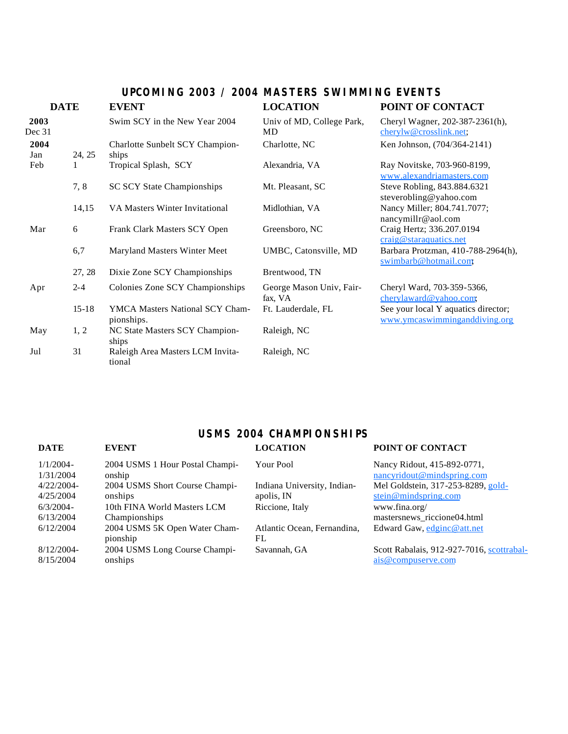### **UPCOMING 2003 / 2004 MASTERS SWIMMING EVENTS**

| <b>DATE</b>    |           | <b>EVENT</b>                                  | <b>LOCATION</b>                     | POINT OF CONTACT                                                     |  |  |
|----------------|-----------|-----------------------------------------------|-------------------------------------|----------------------------------------------------------------------|--|--|
| 2003<br>Dec 31 |           | Swim SCY in the New Year 2004                 | Univ of MD, College Park,<br>MD     | Cheryl Wagner, 202-387-2361(h),<br>cherylw@crosslink.net;            |  |  |
| 2004<br>Jan    | 24, 25    | Charlotte Sunbelt SCY Champion-<br>ships      | Charlotte, NC                       | Ken Johnson, (704/364-2141)                                          |  |  |
| Feb            |           | Tropical Splash, SCY                          | Alexandria, VA                      | Ray Novitske, 703-960-8199,<br>www.alexandriamasters.com             |  |  |
|                | 7, 8      | <b>SC SCY State Championships</b>             | Mt. Pleasant, SC                    | Steve Robling, 843.884.6321<br>steverobling@yahoo.com                |  |  |
|                | 14,15     | VA Masters Winter Invitational                | Midlothian, VA                      | Nancy Miller; 804.741.7077;<br>nancymillr@aol.com                    |  |  |
| Mar            | 6         | Frank Clark Masters SCY Open                  | Greensboro, NC                      | Craig Hertz; 336.207.0194<br>craig@staraquatics.net                  |  |  |
|                | 6,7       | Maryland Masters Winter Meet                  | UMBC, Catonsville, MD               | Barbara Protzman, 410-788-2964(h),<br>swimbarb@hotmail.com           |  |  |
|                | 27, 28    | Dixie Zone SCY Championships                  | Brentwood, TN                       |                                                                      |  |  |
| Apr            | $2 - 4$   | Colonies Zone SCY Championships               | George Mason Univ, Fair-<br>fax, VA | Cheryl Ward, 703-359-5366,<br>cherylaward@yahoo.com,                 |  |  |
|                | $15 - 18$ | YMCA Masters National SCY Cham-<br>pionships. | Ft. Lauderdale, FL                  | See your local Y aquatics director;<br>www.ymcaswimminganddiving.org |  |  |
| May            | 1, 2      | NC State Masters SCY Champion-<br>ships       | Raleigh, NC                         |                                                                      |  |  |
| Jul            | 31        | Raleigh Area Masters LCM Invita-<br>tional    | Raleigh, NC                         |                                                                      |  |  |

# **USMS 2004 CHAMPIONSHIPS**

| <b>DATE</b>              | <b>EVENT</b>                              | <b>LOCATION</b>                   | POINT OF CONTACT                                          |
|--------------------------|-------------------------------------------|-----------------------------------|-----------------------------------------------------------|
| $1/1/2004-$<br>1/31/2004 | 2004 USMS 1 Hour Postal Champi-<br>onship | Your Pool                         | Nancy Ridout, 415-892-0771,<br>nancyridout@mindspring.com |
| 4/22/2004-               | 2004 USMS Short Course Champi-            | Indiana University, Indian-       | Mel Goldstein, 317-253-8289, gold-                        |
| 4/25/2004                | onships                                   | apolis, IN                        | $\underline{\text{stein} \omega}$ mindspring.com          |
| $6/3/2004 -$             | 10th FINA World Masters LCM               | Riccione, Italy                   | www.fina.org/                                             |
| 6/13/2004                | Championships                             |                                   | mastersnews_riccione04.html                               |
| 6/12/2004                | 2004 USMS 5K Open Water Cham-<br>pionship | Atlantic Ocean, Fernandina,<br>FL | Edward Gaw, edginc@att.net                                |
| $8/12/2004$ -            | 2004 USMS Long Course Champi-             | Savannah, GA                      | Scott Rabalais, 912-927-7016, scottrabal-                 |
| 8/15/2004                | onships                                   |                                   | ais@compuserve.com                                        |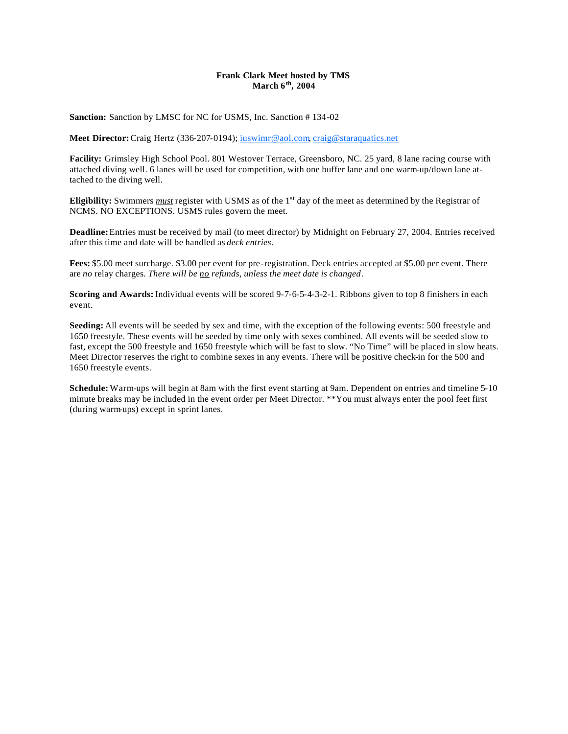#### **Frank Clark Meet hosted by TMS March 6th, 2004**

**Sanction:** Sanction by LMSC for NC for USMS, Inc. Sanction # 134-02

Meet Director: Craig Hertz (336-207-0194); interior cal.com, craig@staraquatics.net

**Facility:** Grimsley High School Pool. 801 Westover Terrace, Greensboro, NC. 25 yard, 8 lane racing course with attached diving well. 6 lanes will be used for competition, with one buffer lane and one warm-up/down lane attached to the diving well.

**Eligibility:** Swimmers *must* register with USMS as of the 1<sup>st</sup> day of the meet as determined by the Registrar of NCMS. NO EXCEPTIONS. USMS rules govern the meet.

**Deadline:** Entries must be received by mail (to meet director) by Midnight on February 27, 2004. Entries received after this time and date will be handled as *deck entries*.

**Fees:** \$5.00 meet surcharge. \$3.00 per event for pre-registration. Deck entries accepted at \$5.00 per event. There are *no* relay charges. *There will be no refunds, unless the meet date is changed*.

**Scoring and Awards:** Individual events will be scored 9-7-6-5-4-3-2-1. Ribbons given to top 8 finishers in each event.

**Seeding:** All events will be seeded by sex and time, with the exception of the following events: 500 freestyle and 1650 freestyle. These events will be seeded by time only with sexes combined. All events will be seeded slow to fast, except the 500 freestyle and 1650 freestyle which will be fast to slow. "No Time" will be placed in slow heats. Meet Director reserves the right to combine sexes in any events. There will be positive check-in for the 500 and 1650 freestyle events.

**Schedule:** Warm-ups will begin at 8am with the first event starting at 9am. Dependent on entries and timeline 5-10 minute breaks may be included in the event order per Meet Director. \*\*You must always enter the pool feet first (during warm-ups) except in sprint lanes.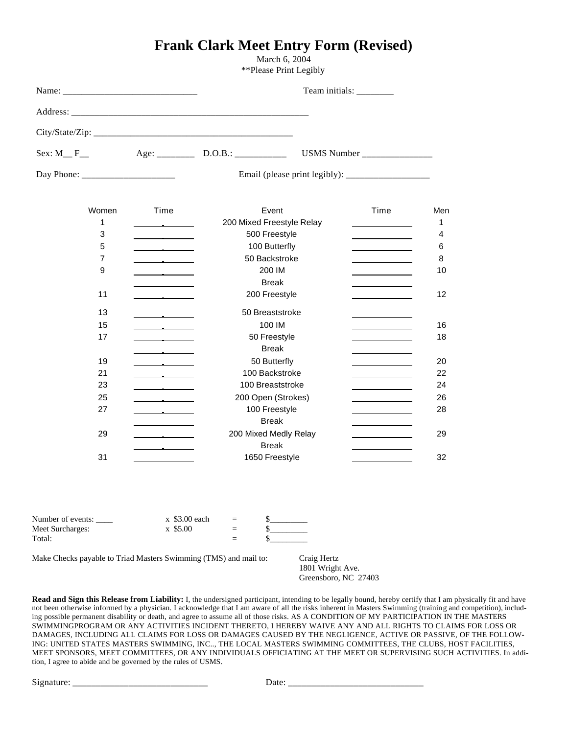### **Frank Clark Meet Entry Form (Revised)**

March 6, 2004 \*\*Please Print Legibly

|            |  | Team initials: _________ |
|------------|--|--------------------------|
|            |  |                          |
|            |  |                          |
| Sex: $M_F$ |  |                          |
|            |  |                          |

| Email (please pri |  |
|-------------------|--|
|                   |  |

| Time                              | Event                                                                                                                                                                                                                                | Time | Men |
|-----------------------------------|--------------------------------------------------------------------------------------------------------------------------------------------------------------------------------------------------------------------------------------|------|-----|
|                                   | 200 Mixed Freestyle Relay                                                                                                                                                                                                            |      | 1   |
|                                   | 500 Freestyle                                                                                                                                                                                                                        |      | 4   |
| the control of the control of     | 100 Butterfly                                                                                                                                                                                                                        |      | 6   |
|                                   | 50 Backstroke                                                                                                                                                                                                                        |      | 8   |
|                                   | 200 IM                                                                                                                                                                                                                               |      | 10  |
|                                   | <b>Break</b>                                                                                                                                                                                                                         |      |     |
| the company's company's com-      | 200 Freestyle                                                                                                                                                                                                                        |      | 12  |
|                                   | 50 Breaststroke                                                                                                                                                                                                                      |      |     |
| the control of the control of     | 100 IM                                                                                                                                                                                                                               |      | 16  |
| the control of the control of     | 50 Freestyle                                                                                                                                                                                                                         |      | 18  |
|                                   | <b>Break</b>                                                                                                                                                                                                                         |      |     |
|                                   | 50 Butterfly                                                                                                                                                                                                                         |      | 20  |
|                                   | 100 Backstroke                                                                                                                                                                                                                       |      | 22  |
| the contract of the contract of   | 100 Breaststroke                                                                                                                                                                                                                     |      | 24  |
|                                   | 200 Open (Strokes)                                                                                                                                                                                                                   |      | 26  |
|                                   | 100 Freestyle                                                                                                                                                                                                                        |      | 28  |
|                                   | <b>Break</b>                                                                                                                                                                                                                         |      |     |
| <b>Contract Contract Contract</b> | 200 Mixed Medly Relay                                                                                                                                                                                                                |      | 29  |
|                                   | <b>Break</b>                                                                                                                                                                                                                         |      |     |
|                                   | 1650 Freestyle                                                                                                                                                                                                                       |      | 32  |
|                                   | <u> The Community of the Community of the Community of the Community of the Community of the Community of the Community of the Community of the Community of the Community of the Community of the Community of the Community of</u> |      |     |

| Number of events: | $x$ \$3.00 each | $=$ |  |
|-------------------|-----------------|-----|--|
| Meet Surcharges:  | x \$5.00        | $=$ |  |
| Total:            |                 | $=$ |  |

Make Checks payable to Triad Masters Swimming (TMS) and mail to: Craig Hertz

1801 Wright Ave. Greensboro, NC 27403

**Read and Sign this Release from Liability:** I, the undersigned participant, intending to be legally bound, hereby certify that I am physically fit and have not been otherwise informed by a physician. I acknowledge that I am aware of all the risks inherent in Masters Swimming (training and competition), including possible permanent disability or death, and agree to assume all of those risks. AS A CONDITION OF MY PARTICIPATION IN THE MASTERS SWIMMINGPROGRAM OR ANY ACTIVITIES INCIDENT THERETO, I HEREBY WAIVE ANY AND ALL RIGHTS TO CLAIMS FOR LOSS OR DAMAGES, INCLUDING ALL CLAIMS FOR LOSS OR DAMAGES CAUSED BY THE NEGLIGENCE, ACTIVE OR PASSIVE, OF THE FOLLOW-ING: UNITED STATES MASTERS SWIMMING, INC.., THE LOCAL MASTERS SWIMMING COMMITTEES, THE CLUBS, HOST FACILITIES, MEET SPONSORS, MEET COMMITTEES, OR ANY INDIVIDUALS OFFICIATING AT THE MEET OR SUPERVISING SUCH ACTIVITIES. In addition, I agree to abide and be governed by the rules of USMS.

Signature: \_\_\_\_\_\_\_\_\_\_\_\_\_\_\_\_\_\_\_\_\_\_\_\_\_\_\_\_\_ Date: \_\_\_\_\_\_\_\_\_\_\_\_\_\_\_\_\_\_\_\_\_\_\_\_\_\_\_\_\_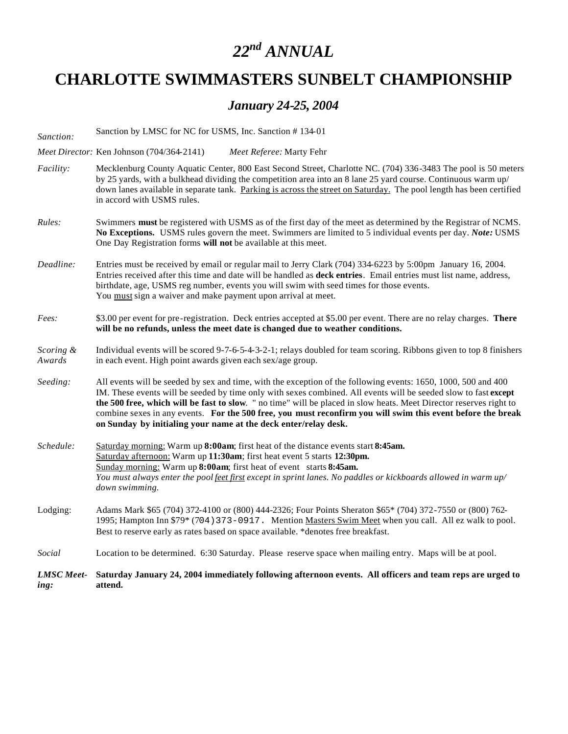# *22nd ANNUAL*

# **CHARLOTTE SWIMMASTERS SUNBELT CHAMPIONSHIP**

### *January 24-25, 2004*

| <b>LMSC</b> Meet-   | Saturday January 24, 2004 immediately following afternoon events. All officers and team reps are urged to                                                                                                                                                                                                                                                                                                                                                                                                                                 |  |  |  |  |  |  |  |
|---------------------|-------------------------------------------------------------------------------------------------------------------------------------------------------------------------------------------------------------------------------------------------------------------------------------------------------------------------------------------------------------------------------------------------------------------------------------------------------------------------------------------------------------------------------------------|--|--|--|--|--|--|--|
| Social              | Location to be determined. 6:30 Saturday. Please reserve space when mailing entry. Maps will be at pool.                                                                                                                                                                                                                                                                                                                                                                                                                                  |  |  |  |  |  |  |  |
| Lodging:            | Adams Mark \$65 (704) 372-4100 or (800) 444-2326; Four Points Sheraton \$65* (704) 372-7550 or (800) 762-<br>1995; Hampton Inn \$79* (704) 373-0917. Mention Masters Swim Meet when you call. All ez walk to pool.<br>Best to reserve early as rates based on space available. *denotes free breakfast.                                                                                                                                                                                                                                   |  |  |  |  |  |  |  |
| Schedule:           | Saturday morning: Warm up 8:00am; first heat of the distance events start 8:45am.<br>Saturday afternoon: Warm up 11:30am; first heat event 5 starts 12:30pm.<br>Sunday morning: Warm up 8:00am; first heat of event starts 8:45am.<br>You must always enter the pool feet first except in sprint lanes. No paddles or kickboards allowed in warm up/<br>down swimming.                                                                                                                                                                    |  |  |  |  |  |  |  |
| Seeding:            | All events will be seeded by sex and time, with the exception of the following events: 1650, 1000, 500 and 400<br>IM. These events will be seeded by time only with sexes combined. All events will be seeded slow to fast except<br>the 500 free, which will be fast to slow. " no time" will be placed in slow heats. Meet Director reserves right to<br>combine sexes in any events. For the 500 free, you must reconfirm you will swim this event before the break<br>on Sunday by initialing your name at the deck enter/relay desk. |  |  |  |  |  |  |  |
| Scoring &<br>Awards | Individual events will be scored 9-7-6-5-4-3-2-1; relays doubled for team scoring. Ribbons given to top 8 finishers<br>in each event. High point awards given each sex/age group.                                                                                                                                                                                                                                                                                                                                                         |  |  |  |  |  |  |  |
| Fees:               | \$3.00 per event for pre-registration. Deck entries accepted at \$5.00 per event. There are no relay charges. There<br>will be no refunds, unless the meet date is changed due to weather conditions.                                                                                                                                                                                                                                                                                                                                     |  |  |  |  |  |  |  |
| Deadline:           | Entries must be received by email or regular mail to Jerry Clark (704) 334-6223 by 5:00pm January 16, 2004.<br>Entries received after this time and date will be handled as <b>deck entries</b> . Email entries must list name, address,<br>birthdate, age, USMS reg number, events you will swim with seed times for those events.<br>You must sign a waiver and make payment upon arrival at meet.                                                                                                                                      |  |  |  |  |  |  |  |
| Rules:              | Swimmers must be registered with USMS as of the first day of the meet as determined by the Registrar of NCMS.<br>No Exceptions. USMS rules govern the meet. Swimmers are limited to 5 individual events per day. Note: USMS<br>One Day Registration forms will not be available at this meet.                                                                                                                                                                                                                                             |  |  |  |  |  |  |  |
| Facility:           | Mecklenburg County Aquatic Center, 800 East Second Street, Charlotte NC. (704) 336-3483 The pool is 50 meters<br>by 25 yards, with a bulkhead dividing the competition area into an 8 lane 25 yard course. Continuous warm up/<br>down lanes available in separate tank. Parking is across the street on Saturday. The pool length has been certified<br>in accord with USMS rules.                                                                                                                                                       |  |  |  |  |  |  |  |
|                     | Meet Director: Ken Johnson (704/364-2141)<br>Meet Referee: Marty Fehr                                                                                                                                                                                                                                                                                                                                                                                                                                                                     |  |  |  |  |  |  |  |
| Sanction:           | Sanction by LMSC for NC for USMS, Inc. Sanction #134-01                                                                                                                                                                                                                                                                                                                                                                                                                                                                                   |  |  |  |  |  |  |  |